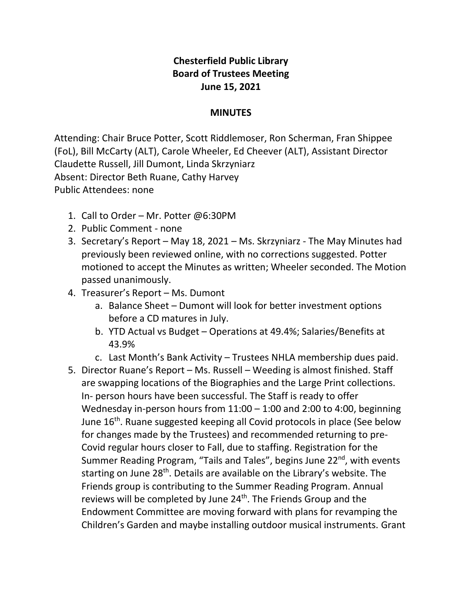## **Chesterfield Public Library Board of Trustees Meeting June 15, 2021**

## **MINUTES**

Attending: Chair Bruce Potter, Scott Riddlemoser, Ron Scherman, Fran Shippee (FoL), Bill McCarty (ALT), Carole Wheeler, Ed Cheever (ALT), Assistant Director Claudette Russell, Jill Dumont, Linda Skrzyniarz Absent: Director Beth Ruane, Cathy Harvey Public Attendees: none

- 1. Call to Order Mr. Potter @6:30PM
- 2. Public Comment none
- 3. Secretary's Report May 18, 2021 Ms. Skrzyniarz The May Minutes had previously been reviewed online, with no corrections suggested. Potter motioned to accept the Minutes as written; Wheeler seconded. The Motion passed unanimously.
- 4. Treasurer's Report Ms. Dumont
	- a. Balance Sheet Dumont will look for better investment options before a CD matures in July.
	- b. YTD Actual vs Budget Operations at 49.4%; Salaries/Benefits at 43.9%
	- c. Last Month's Bank Activity Trustees NHLA membership dues paid.
- 5. Director Ruane's Report Ms. Russell Weeding is almost finished. Staff are swapping locations of the Biographies and the Large Print collections. In- person hours have been successful. The Staff is ready to offer Wednesday in-person hours from 11:00 – 1:00 and 2:00 to 4:00, beginning June 16<sup>th</sup>. Ruane suggested keeping all Covid protocols in place (See below for changes made by the Trustees) and recommended returning to pre-Covid regular hours closer to Fall, due to staffing. Registration for the Summer Reading Program, "Tails and Tales", begins June 22<sup>nd</sup>, with events starting on June 28<sup>th</sup>. Details are available on the Library's website. The Friends group is contributing to the Summer Reading Program. Annual reviews will be completed by June 24<sup>th</sup>. The Friends Group and the Endowment Committee are moving forward with plans for revamping the Children's Garden and maybe installing outdoor musical instruments. Grant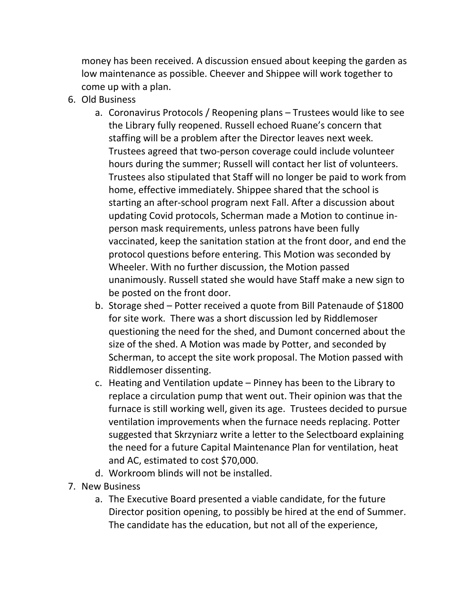money has been received. A discussion ensued about keeping the garden as low maintenance as possible. Cheever and Shippee will work together to come up with a plan.

- 6. Old Business
	- a. Coronavirus Protocols / Reopening plans Trustees would like to see the Library fully reopened. Russell echoed Ruane's concern that staffing will be a problem after the Director leaves next week. Trustees agreed that two-person coverage could include volunteer hours during the summer; Russell will contact her list of volunteers. Trustees also stipulated that Staff will no longer be paid to work from home, effective immediately. Shippee shared that the school is starting an after-school program next Fall. After a discussion about updating Covid protocols, Scherman made a Motion to continue inperson mask requirements, unless patrons have been fully vaccinated, keep the sanitation station at the front door, and end the protocol questions before entering. This Motion was seconded by Wheeler. With no further discussion, the Motion passed unanimously. Russell stated she would have Staff make a new sign to be posted on the front door.
	- b. Storage shed Potter received a quote from Bill Patenaude of \$1800 for site work. There was a short discussion led by Riddlemoser questioning the need for the shed, and Dumont concerned about the size of the shed. A Motion was made by Potter, and seconded by Scherman, to accept the site work proposal. The Motion passed with Riddlemoser dissenting.
	- c. Heating and Ventilation update Pinney has been to the Library to replace a circulation pump that went out. Their opinion was that the furnace is still working well, given its age. Trustees decided to pursue ventilation improvements when the furnace needs replacing. Potter suggested that Skrzyniarz write a letter to the Selectboard explaining the need for a future Capital Maintenance Plan for ventilation, heat and AC, estimated to cost \$70,000.
	- d. Workroom blinds will not be installed.
- 7. New Business
	- a. The Executive Board presented a viable candidate, for the future Director position opening, to possibly be hired at the end of Summer. The candidate has the education, but not all of the experience,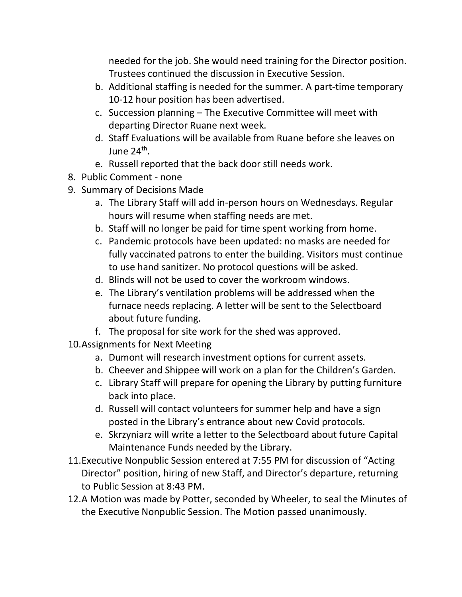needed for the job. She would need training for the Director position. Trustees continued the discussion in Executive Session.

- b. Additional staffing is needed for the summer. A part-time temporary 10-12 hour position has been advertised.
- c. Succession planning The Executive Committee will meet with departing Director Ruane next week.
- d. Staff Evaluations will be available from Ruane before she leaves on June 24<sup>th</sup>.
- e. Russell reported that the back door still needs work.
- 8. Public Comment none
- 9. Summary of Decisions Made
	- a. The Library Staff will add in-person hours on Wednesdays. Regular hours will resume when staffing needs are met.
	- b. Staff will no longer be paid for time spent working from home.
	- c. Pandemic protocols have been updated: no masks are needed for fully vaccinated patrons to enter the building. Visitors must continue to use hand sanitizer. No protocol questions will be asked.
	- d. Blinds will not be used to cover the workroom windows.
	- e. The Library's ventilation problems will be addressed when the furnace needs replacing. A letter will be sent to the Selectboard about future funding.
	- f. The proposal for site work for the shed was approved.
- 10.Assignments for Next Meeting
	- a. Dumont will research investment options for current assets.
	- b. Cheever and Shippee will work on a plan for the Children's Garden.
	- c. Library Staff will prepare for opening the Library by putting furniture back into place.
	- d. Russell will contact volunteers for summer help and have a sign posted in the Library's entrance about new Covid protocols.
	- e. Skrzyniarz will write a letter to the Selectboard about future Capital Maintenance Funds needed by the Library.
- 11.Executive Nonpublic Session entered at 7:55 PM for discussion of "Acting Director" position, hiring of new Staff, and Director's departure, returning to Public Session at 8:43 PM.
- 12.A Motion was made by Potter, seconded by Wheeler, to seal the Minutes of the Executive Nonpublic Session. The Motion passed unanimously.